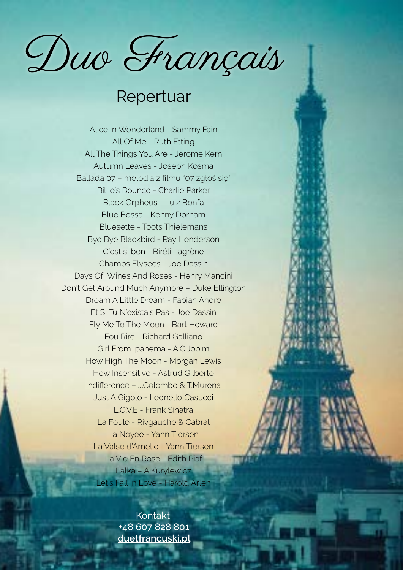Duo Français

## Repertuar

Alice In Wonderland - Sammy Fain All Of Me - Ruth Etting All The Things You Are - Jerome Kern Autumn Leaves - Joseph Kosma Ballada 07 – melodia z filmu "07 zgłoś się" Billie's Bounce - Charlie Parker Black Orpheus - Luiz Bonfa Blue Bossa - Kenny Dorham Bluesette - Toots Thielemans Bye Bye Blackbird - Ray Henderson C'est si bon - Biréli Lagrène Champs Elysees - Joe Dassin Days Of Wines And Roses - Henry Mancini Don't Get Around Much Anymore – Duke Ellington Dream A Little Dream - Fabian Andre Et Si Tu N'existais Pas - Joe Dassin Fly Me To The Moon - Bart Howard Fou Rire - Richard Galliano Girl From Ipanema - A.C.Jobim How High The Moon - Morgan Lewis How Insensitive - Astrud Gilberto Indifference – J.Colombo & T.Murena Just A Gigolo - Leonello Casucci L.O.V.E - Frank Sinatra La Foule - Rivgauche & Cabral La Noyee - Yann Tiersen La Valse d'Amelie - Yann Tiersen La Vie En Rose - Edith Piaf Lalka – A.Kurylewicz Let's Fall In Love - Harold Arlen

> Kontakt: +48 607 828 801 **[duetfrancuski.pl](http://duetfrancuski.pl)**